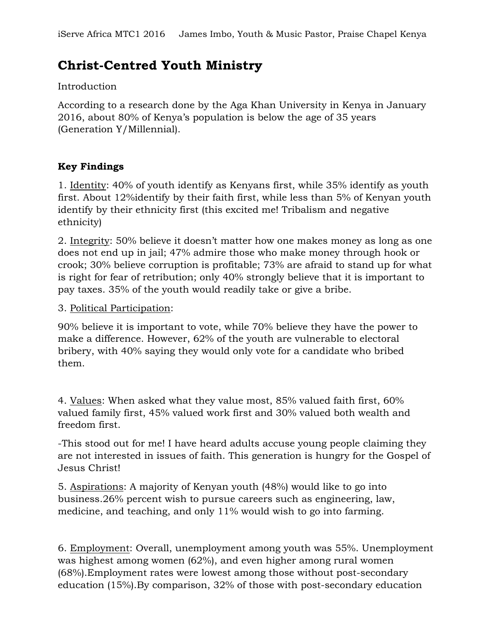# **Christ-Centred Youth Ministry**

# Introduction

According to a research done by the Aga Khan University in Kenya in January 2016, about 80% of Kenya's population is below the age of 35 years (Generation Y/Millennial).

# **Key Findings**

1. Identity: 40% of youth identify as Kenyans first, while 35% identify as youth first. About 12%identify by their faith first, while less than 5% of Kenyan youth identify by their ethnicity first (this excited me! Tribalism and negative ethnicity)

2. Integrity: 50% believe it doesn't matter how one makes money as long as one does not end up in jail; 47% admire those who make money through hook or crook; 30% believe corruption is profitable; 73% are afraid to stand up for what is right for fear of retribution; only 40% strongly believe that it is important to pay taxes. 35% of the youth would readily take or give a bribe.

# 3. Political Participation:

90% believe it is important to vote, while 70% believe they have the power to make a difference. However, 62% of the youth are vulnerable to electoral bribery, with 40% saying they would only vote for a candidate who bribed them.

4. Values: When asked what they value most, 85% valued faith first, 60% valued family first, 45% valued work first and 30% valued both wealth and freedom first.

-This stood out for me! I have heard adults accuse young people claiming they are not interested in issues of faith. This generation is hungry for the Gospel of Jesus Christ!

5. Aspirations: A majority of Kenyan youth (48%) would like to go into business.26% percent wish to pursue careers such as engineering, law, medicine, and teaching, and only 11% would wish to go into farming.

6. Employment: Overall, unemployment among youth was 55%. Unemployment was highest among women (62%), and even higher among rural women (68%).Employment rates were lowest among those without post-secondary education (15%).By comparison, 32% of those with post-secondary education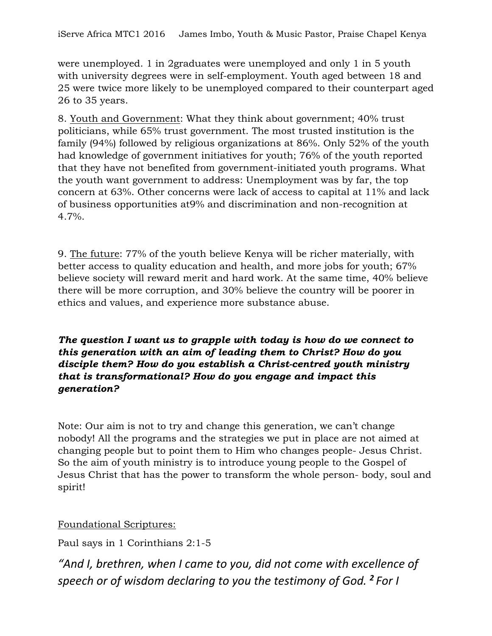were unemployed. 1 in 2graduates were unemployed and only 1 in 5 youth with university degrees were in self-employment. Youth aged between 18 and 25 were twice more likely to be unemployed compared to their counterpart aged 26 to 35 years.

8. Youth and Government: What they think about government; 40% trust politicians, while 65% trust government. The most trusted institution is the family (94%) followed by religious organizations at 86%. Only 52% of the youth had knowledge of government initiatives for youth; 76% of the youth reported that they have not benefited from government-initiated youth programs. What the youth want government to address: Unemployment was by far, the top concern at 63%. Other concerns were lack of access to capital at 11% and lack of business opportunities at9% and discrimination and non-recognition at 4.7%.

9. The future: 77% of the youth believe Kenya will be richer materially, with better access to quality education and health, and more jobs for youth; 67% believe society will reward merit and hard work. At the same time, 40% believe there will be more corruption, and 30% believe the country will be poorer in ethics and values, and experience more substance abuse.

*The question I want us to grapple with today is how do we connect to this generation with an aim of leading them to Christ? How do you disciple them? How do you establish a Christ-centred youth ministry that is transformational? How do you engage and impact this generation?* 

Note: Our aim is not to try and change this generation, we can't change nobody! All the programs and the strategies we put in place are not aimed at changing people but to point them to Him who changes people- Jesus Christ. So the aim of youth ministry is to introduce young people to the Gospel of Jesus Christ that has the power to transform the whole person- body, soul and spirit!

Foundational Scriptures:

Paul says in 1 Corinthians 2:1-5

*"And I, brethren, when I came to you, did not come with excellence of speech or of wisdom declaring to you the testimony of God. <sup>2</sup> For I*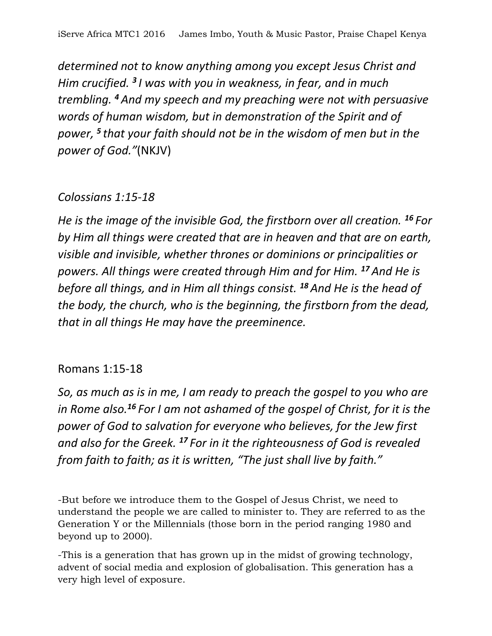*determined not to know anything among you except Jesus Christ and Him crucified. <sup>3</sup> I was with you in weakness, in fear, and in much trembling. <sup>4</sup> And my speech and my preaching were not with persuasive words of human wisdom, but in demonstration of the Spirit and of power, <sup>5</sup> that your faith should not be in the wisdom of men but in the power of God."*(NKJV)

# *Colossians 1:15-18*

*He is the image of the invisible God, the firstborn over all creation. <sup>16</sup> For by Him all things were created that are in heaven and that are on earth, visible and invisible, whether thrones or dominions or principalities or powers. All things were created through Him and for Him. <sup>17</sup> And He is before all things, and in Him all things consist. <sup>18</sup> And He is the head of the body, the church, who is the beginning, the firstborn from the dead, that in all things He may have the preeminence.*

# Romans 1:15-18

*So, as much as is in me, I am ready to preach the gospel to you who are in Rome also.<sup>16</sup> For I am not ashamed of the gospel of Christ, for it is the power of God to salvation for everyone who believes, for the Jew first and also for the Greek. <sup>17</sup> For in it the righteousness of God is revealed from faith to faith; as it is written, "The just shall live by faith."*

-But before we introduce them to the Gospel of Jesus Christ, we need to understand the people we are called to minister to. They are referred to as the Generation Y or the Millennials (those born in the period ranging 1980 and beyond up to 2000).

-This is a generation that has grown up in the midst of growing technology, advent of social media and explosion of globalisation. This generation has a very high level of exposure.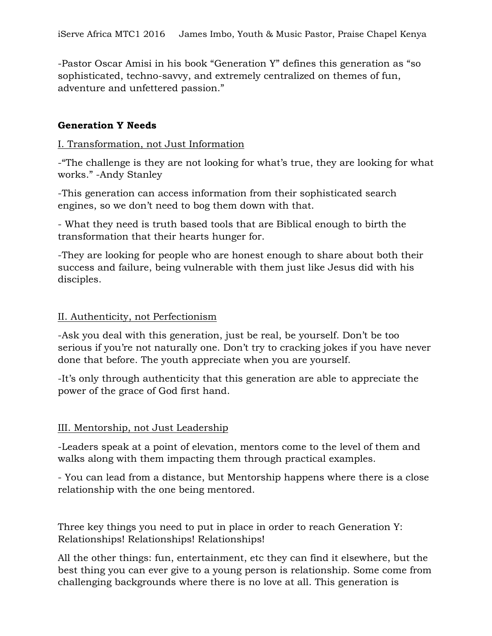-Pastor Oscar Amisi in his book "Generation Y" defines this generation as "so sophisticated, techno-savvy, and extremely centralized on themes of fun, adventure and unfettered passion."

# **Generation Y Needs**

#### I. Transformation, not Just Information

-"The challenge is they are not looking for what's true, they are looking for what works." -Andy Stanley

-This generation can access information from their sophisticated search engines, so we don't need to bog them down with that.

- What they need is truth based tools that are Biblical enough to birth the transformation that their hearts hunger for.

-They are looking for people who are honest enough to share about both their success and failure, being vulnerable with them just like Jesus did with his disciples.

#### II. Authenticity, not Perfectionism

-Ask you deal with this generation, just be real, be yourself. Don't be too serious if you're not naturally one. Don't try to cracking jokes if you have never done that before. The youth appreciate when you are yourself.

-It's only through authenticity that this generation are able to appreciate the power of the grace of God first hand.

# III. Mentorship, not Just Leadership

-Leaders speak at a point of elevation, mentors come to the level of them and walks along with them impacting them through practical examples.

- You can lead from a distance, but Mentorship happens where there is a close relationship with the one being mentored.

Three key things you need to put in place in order to reach Generation Y: Relationships! Relationships! Relationships!

All the other things: fun, entertainment, etc they can find it elsewhere, but the best thing you can ever give to a young person is relationship. Some come from challenging backgrounds where there is no love at all. This generation is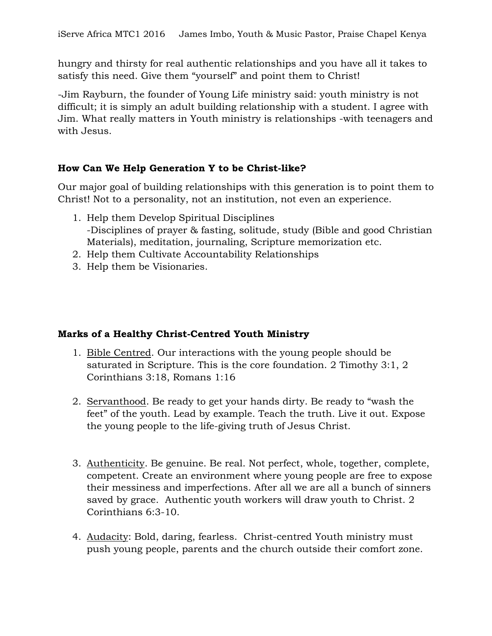hungry and thirsty for real authentic relationships and you have all it takes to satisfy this need. Give them "yourself" and point them to Christ!

-Jim Rayburn, the founder of Young Life ministry said: youth ministry is not difficult; it is simply an adult building relationship with a student. I agree with Jim. What really matters in Youth ministry is relationships -with teenagers and with Jesus.

# **How Can We Help Generation Y to be Christ-like?**

Our major goal of building relationships with this generation is to point them to Christ! Not to a personality, not an institution, not even an experience.

- 1. Help them Develop Spiritual Disciplines -Disciplines of prayer & fasting, solitude, study (Bible and good Christian Materials), meditation, journaling, Scripture memorization etc.
- 2. Help them Cultivate Accountability Relationships
- 3. Help them be Visionaries.

# **Marks of a Healthy Christ-Centred Youth Ministry**

- 1. Bible Centred. Our interactions with the young people should be saturated in Scripture. This is the core foundation. 2 Timothy 3:1, 2 Corinthians 3:18, Romans 1:16
- 2. Servanthood. Be ready to get your hands dirty. Be ready to "wash the feet" of the youth. Lead by example. Teach the truth. Live it out. Expose the young people to the life-giving truth of Jesus Christ.
- 3. Authenticity. Be genuine. Be real. Not perfect, whole, together, complete, competent. Create an environment where young people are free to expose their messiness and imperfections. After all we are all a bunch of sinners saved by grace. Authentic youth workers will draw youth to Christ. 2 Corinthians 6:3-10.
- 4. Audacity: Bold, daring, fearless. Christ-centred Youth ministry must push young people, parents and the church outside their comfort zone.